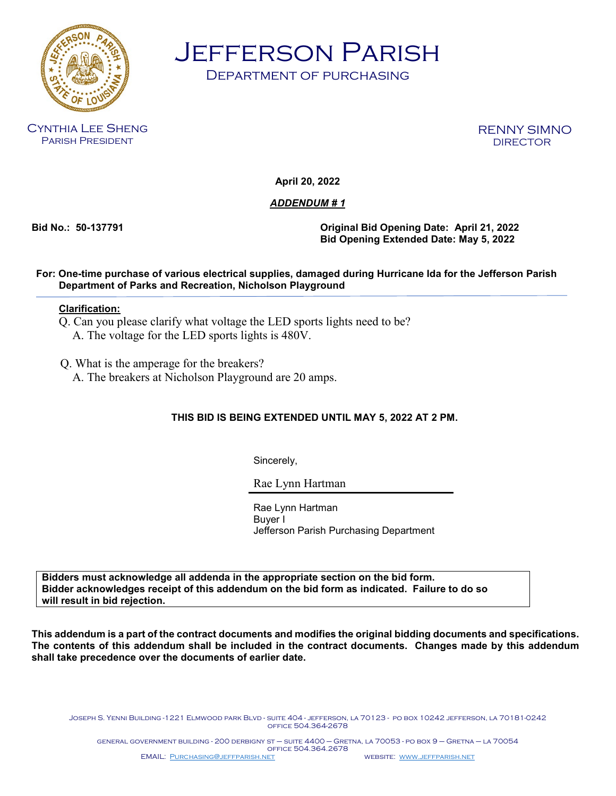

Jefferson Parish

Department of purchasing

Cynthia Lee Sheng Parish President

RENNY SIMNO DIRECTOR

**April 20, 2022**

## *ADDENDUM # 1*

**Bid No.: 50-137791 Original Bid Opening Date: April 21, 2022 Bid Opening Extended Date: May 5, 2022**

## **For: One-time purchase of various electrical supplies, damaged during Hurricane Ida for the Jefferson Parish Department of Parks and Recreation, Nicholson Playground**

## **Clarification:**

- Q. Can you please clarify what voltage the LED sports lights need to be? A. The voltage for the LED sports lights is 480V.
- Q. What is the amperage for the breakers?
	- A. The breakers at Nicholson Playground are 20 amps.

## **THIS BID IS BEING EXTENDED UNTIL MAY 5, 2022 AT 2 PM.**

Sincerely,

Rae Lynn Hartman

Rae Lynn Hartman Buyer I Jefferson Parish Purchasing Department

**Bidders must acknowledge all addenda in the appropriate section on the bid form. Bidder acknowledges receipt of this addendum on the bid form as indicated. Failure to do so will result in bid rejection.**

**This addendum is a part of the contract documents and modifies the original bidding documents and specifications. The contents of this addendum shall be included in the contract documents. Changes made by this addendum shall take precedence over the documents of earlier date.**

Joseph S. Yenni Building -1221 Elmwood park Blvd - suite 404 - jefferson, la 70123 - po box 10242 jefferson, la 70181-0242 office 504.364-2678

general government building - 200 derbigny st – suite 4400 – Gretna, la 70053 - po box 9 – Gretna – la 70054 office 504.364.2678 EMAIL: [Purchasing@jeffparish.net](mailto:Purchasing@jeffparish.net) website: [www.jeffparish.net](http://www.jeffparish.net/)